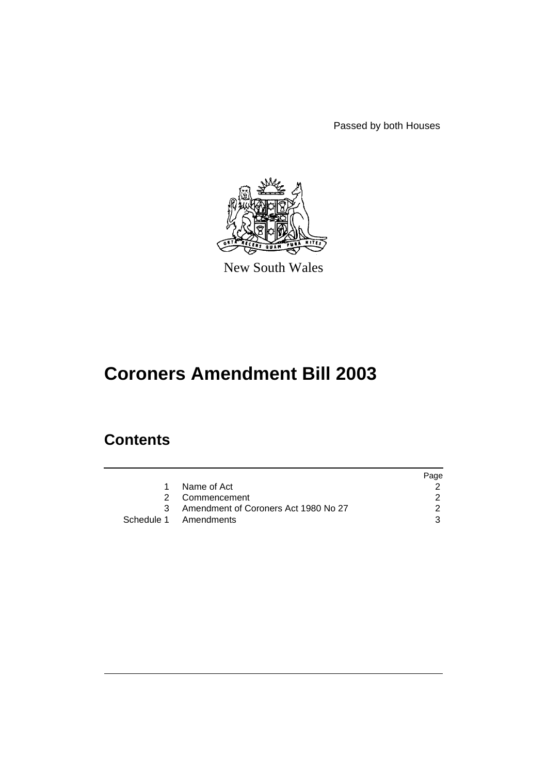Passed by both Houses



New South Wales

# **Coroners Amendment Bill 2003**

# **Contents**

|                                        | Page |
|----------------------------------------|------|
| 1 Name of Act                          |      |
| 2 Commencement                         |      |
| 3 Amendment of Coroners Act 1980 No 27 |      |
| Schedule 1 Amendments                  |      |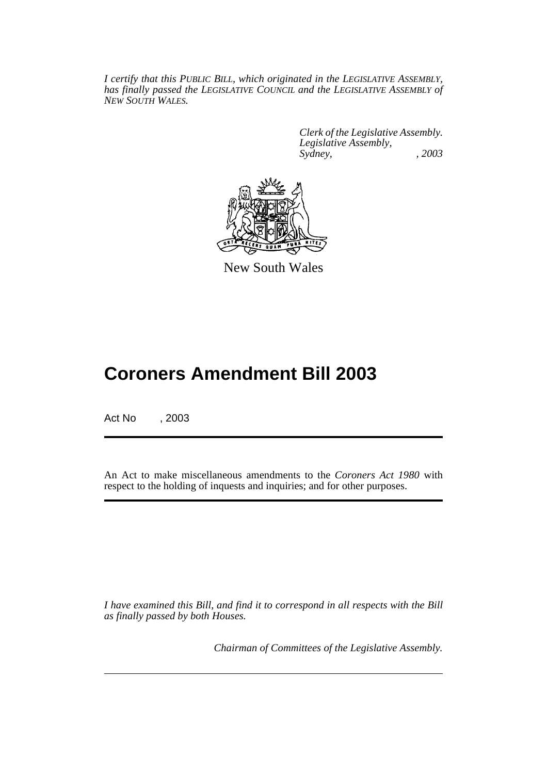*I certify that this PUBLIC BILL, which originated in the LEGISLATIVE ASSEMBLY, has finally passed the LEGISLATIVE COUNCIL and the LEGISLATIVE ASSEMBLY of NEW SOUTH WALES.*

> *Clerk of the Legislative Assembly. Legislative Assembly, Sydney, , 2003*



New South Wales

# **Coroners Amendment Bill 2003**

Act No , 2003

An Act to make miscellaneous amendments to the *Coroners Act 1980* with respect to the holding of inquests and inquiries; and for other purposes.

*I have examined this Bill, and find it to correspond in all respects with the Bill as finally passed by both Houses.*

*Chairman of Committees of the Legislative Assembly.*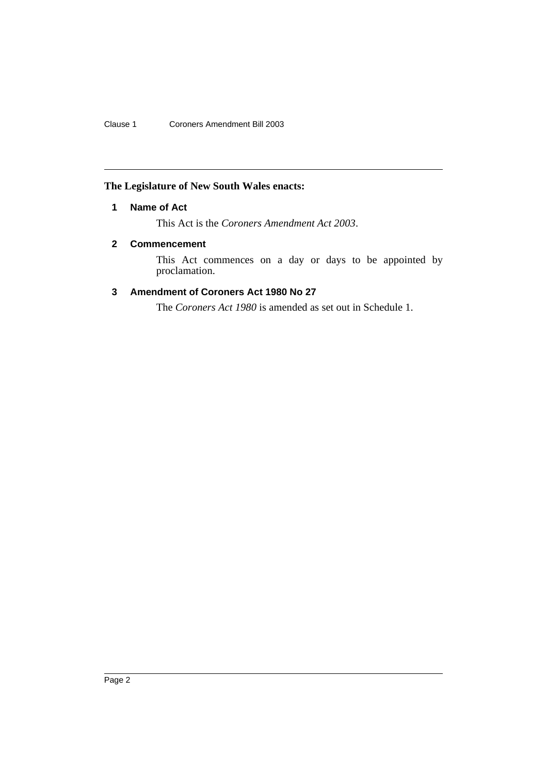Clause 1 Coroners Amendment Bill 2003

# **The Legislature of New South Wales enacts:**

## **1 Name of Act**

This Act is the *Coroners Amendment Act 2003*.

## **2 Commencement**

This Act commences on a day or days to be appointed by proclamation.

# **3 Amendment of Coroners Act 1980 No 27**

The *Coroners Act 1980* is amended as set out in Schedule 1.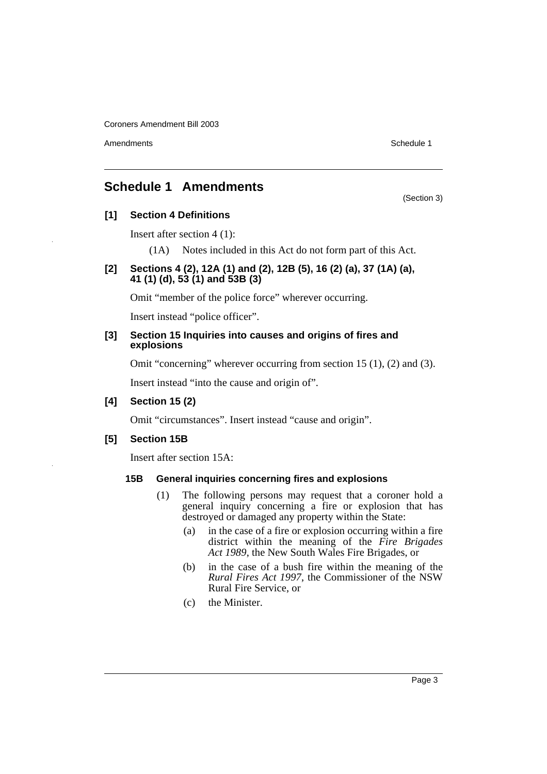Amendments **Amendments** Schedule 1

(Section 3)

# **Schedule 1 Amendments**

### **[1] Section 4 Definitions**

Insert after section 4 (1):

(1A) Notes included in this Act do not form part of this Act.

## **[2] Sections 4 (2), 12A (1) and (2), 12B (5), 16 (2) (a), 37 (1A) (a), 41 (1) (d), 53 (1) and 53B (3)**

Omit "member of the police force" wherever occurring.

Insert instead "police officer".

#### **[3] Section 15 Inquiries into causes and origins of fires and explosions**

Omit "concerning" wherever occurring from section 15 (1), (2) and (3).

Insert instead "into the cause and origin of".

### **[4] Section 15 (2)**

Omit "circumstances". Insert instead "cause and origin".

### **[5] Section 15B**

Insert after section 15A:

### **15B General inquiries concerning fires and explosions**

- (1) The following persons may request that a coroner hold a general inquiry concerning a fire or explosion that has destroyed or damaged any property within the State:
	- (a) in the case of a fire or explosion occurring within a fire district within the meaning of the *Fire Brigades Act 1989*, the New South Wales Fire Brigades, or
	- (b) in the case of a bush fire within the meaning of the *Rural Fires Act 1997*, the Commissioner of the NSW Rural Fire Service, or
	- (c) the Minister.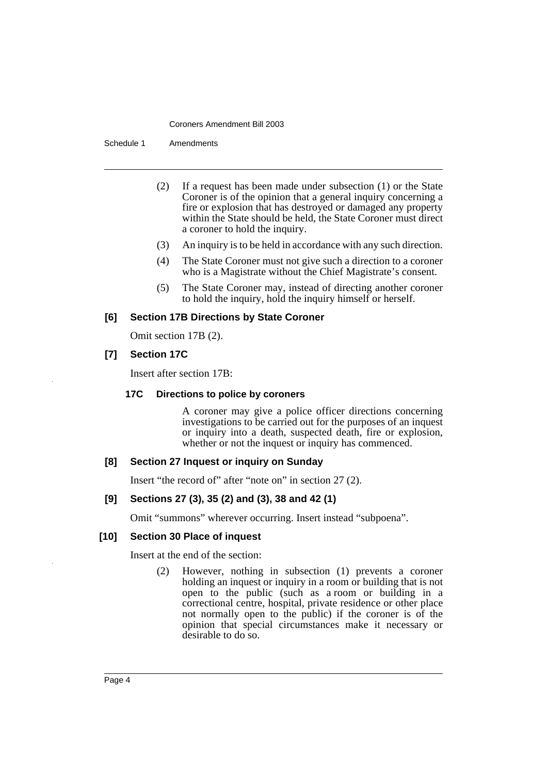Schedule 1 Amendments

- (2) If a request has been made under subsection (1) or the State Coroner is of the opinion that a general inquiry concerning a fire or explosion that has destroyed or damaged any property within the State should be held, the State Coroner must direct a coroner to hold the inquiry.
- (3) An inquiry is to be held in accordance with any such direction.
- (4) The State Coroner must not give such a direction to a coroner who is a Magistrate without the Chief Magistrate's consent.
- (5) The State Coroner may, instead of directing another coroner to hold the inquiry, hold the inquiry himself or herself.

#### **[6] Section 17B Directions by State Coroner**

Omit section 17B (2).

## **[7] Section 17C**

Insert after section 17B:

### **17C Directions to police by coroners**

A coroner may give a police officer directions concerning investigations to be carried out for the purposes of an inquest or inquiry into a death, suspected death, fire or explosion, whether or not the inquest or inquiry has commenced.

### **[8] Section 27 Inquest or inquiry on Sunday**

Insert "the record of" after "note on" in section 27 (2).

### **[9] Sections 27 (3), 35 (2) and (3), 38 and 42 (1)**

Omit "summons" wherever occurring. Insert instead "subpoena".

### **[10] Section 30 Place of inquest**

Insert at the end of the section:

(2) However, nothing in subsection (1) prevents a coroner holding an inquest or inquiry in a room or building that is not open to the public (such as a room or building in a correctional centre, hospital, private residence or other place not normally open to the public) if the coroner is of the opinion that special circumstances make it necessary or desirable to do so.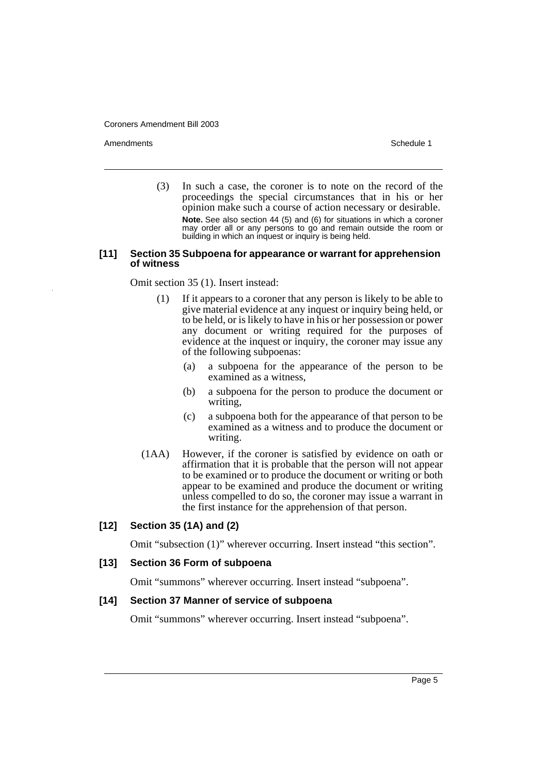Amendments **Amendments** Schedule 1

(3) In such a case, the coroner is to note on the record of the proceedings the special circumstances that in his or her opinion make such a course of action necessary or desirable. **Note.** See also section 44 (5) and (6) for situations in which a coroner may order all or any persons to go and remain outside the room or building in which an inquest or inquiry is being held.

#### **[11] Section 35 Subpoena for appearance or warrant for apprehension of witness**

Omit section 35 (1). Insert instead:

- (1) If it appears to a coroner that any person is likely to be able to give material evidence at any inquest or inquiry being held, or to be held, or is likely to have in his or her possession or power any document or writing required for the purposes of evidence at the inquest or inquiry, the coroner may issue any of the following subpoenas:
	- (a) a subpoena for the appearance of the person to be examined as a witness,
	- (b) a subpoena for the person to produce the document or writing,
	- (c) a subpoena both for the appearance of that person to be examined as a witness and to produce the document or writing.
- (1AA) However, if the coroner is satisfied by evidence on oath or affirmation that it is probable that the person will not appear to be examined or to produce the document or writing or both appear to be examined and produce the document or writing unless compelled to do so, the coroner may issue a warrant in the first instance for the apprehension of that person.

### **[12] Section 35 (1A) and (2)**

Omit "subsection (1)" wherever occurring. Insert instead "this section".

### **[13] Section 36 Form of subpoena**

Omit "summons" wherever occurring. Insert instead "subpoena".

### **[14] Section 37 Manner of service of subpoena**

Omit "summons" wherever occurring. Insert instead "subpoena".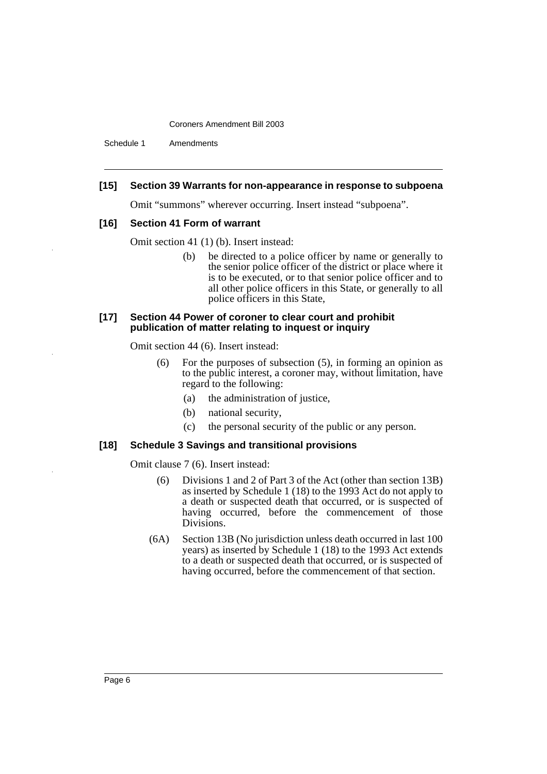Schedule 1 Amendments

#### **[15] Section 39 Warrants for non-appearance in response to subpoena**

Omit "summons" wherever occurring. Insert instead "subpoena".

#### **[16] Section 41 Form of warrant**

Omit section 41 (1) (b). Insert instead:

(b) be directed to a police officer by name or generally to the senior police officer of the district or place where it is to be executed, or to that senior police officer and to all other police officers in this State, or generally to all police officers in this State,

#### **[17] Section 44 Power of coroner to clear court and prohibit publication of matter relating to inquest or inquiry**

Omit section 44 (6). Insert instead:

- (6) For the purposes of subsection (5), in forming an opinion as to the public interest, a coroner may, without limitation, have regard to the following:
	- (a) the administration of justice,
	- (b) national security,
	- (c) the personal security of the public or any person.

#### **[18] Schedule 3 Savings and transitional provisions**

Omit clause 7 (6). Insert instead:

- (6) Divisions 1 and 2 of Part 3 of the Act (other than section 13B) as inserted by Schedule 1 (18) to the 1993 Act do not apply to a death or suspected death that occurred, or is suspected of having occurred, before the commencement of those Divisions.
- (6A) Section 13B (No jurisdiction unless death occurred in last 100 years) as inserted by Schedule 1 (18) to the 1993 Act extends to a death or suspected death that occurred, or is suspected of having occurred, before the commencement of that section.